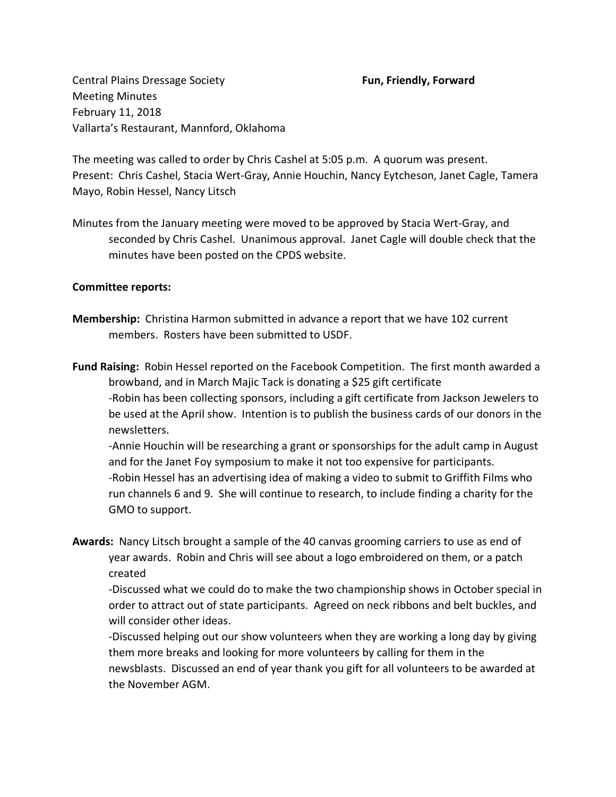Central Plains Dressage Society **Fun, Friendly, Forward** Meeting Minutes February 11, 2018 Vallarta's Restaurant, Mannford, Oklahoma

The meeting was called to order by Chris Cashel at 5:05 p.m. A quorum was present. Present: Chris Cashel, Stacia Wert-Gray, Annie Houchin, Nancy Eytcheson, Janet Cagle, Tamera Mayo, Robin Hessel, Nancy Litsch

Minutes from the January meeting were moved to be approved by Stacia Wert-Gray, and seconded by Chris Cashel. Unanimous approval. Janet Cagle will double check that the minutes have been posted on the CPDS website.

## **Committee reports:**

- **Membership:** Christina Harmon submitted in advance a report that we have 102 current members. Rosters have been submitted to USDF.
- **Fund Raising:** Robin Hessel reported on the Facebook Competition. The first month awarded a browband, and in March Majic Tack is donating a \$25 gift certificate -Robin has been collecting sponsors, including a gift certificate from Jackson Jewelers to be used at the April show. Intention is to publish the business cards of our donors in the newsletters.

-Annie Houchin will be researching a grant or sponsorships for the adult camp in August and for the Janet Foy symposium to make it not too expensive for participants. -Robin Hessel has an advertising idea of making a video to submit to Griffith Films who run channels 6 and 9. She will continue to research, to include finding a charity for the GMO to support.

**Awards:** Nancy Litsch brought a sample of the 40 canvas grooming carriers to use as end of year awards. Robin and Chris will see about a logo embroidered on them, or a patch created

-Discussed what we could do to make the two championship shows in October special in order to attract out of state participants. Agreed on neck ribbons and belt buckles, and will consider other ideas.

-Discussed helping out our show volunteers when they are working a long day by giving them more breaks and looking for more volunteers by calling for them in the newsblasts. Discussed an end of year thank you gift for all volunteers to be awarded at the November AGM.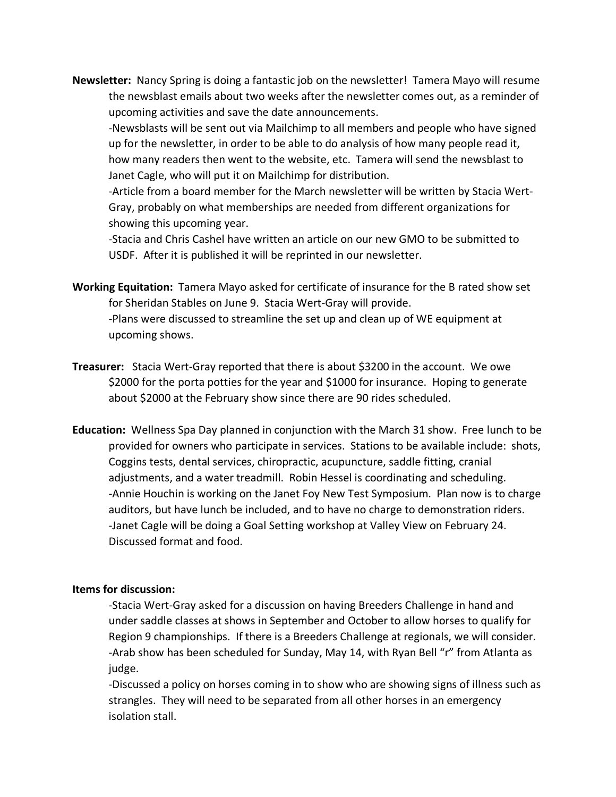**Newsletter:** Nancy Spring is doing a fantastic job on the newsletter! Tamera Mayo will resume the newsblast emails about two weeks after the newsletter comes out, as a reminder of upcoming activities and save the date announcements.

-Newsblasts will be sent out via Mailchimp to all members and people who have signed up for the newsletter, in order to be able to do analysis of how many people read it, how many readers then went to the website, etc. Tamera will send the newsblast to Janet Cagle, who will put it on Mailchimp for distribution.

-Article from a board member for the March newsletter will be written by Stacia Wert-Gray, probably on what memberships are needed from different organizations for showing this upcoming year.

-Stacia and Chris Cashel have written an article on our new GMO to be submitted to USDF. After it is published it will be reprinted in our newsletter.

**Working Equitation:** Tamera Mayo asked for certificate of insurance for the B rated show set for Sheridan Stables on June 9. Stacia Wert-Gray will provide. -Plans were discussed to streamline the set up and clean up of WE equipment at upcoming shows.

- **Treasurer:** Stacia Wert-Gray reported that there is about \$3200 in the account. We owe \$2000 for the porta potties for the year and \$1000 for insurance. Hoping to generate about \$2000 at the February show since there are 90 rides scheduled.
- **Education:** Wellness Spa Day planned in conjunction with the March 31 show. Free lunch to be provided for owners who participate in services. Stations to be available include: shots, Coggins tests, dental services, chiropractic, acupuncture, saddle fitting, cranial adjustments, and a water treadmill. Robin Hessel is coordinating and scheduling. -Annie Houchin is working on the Janet Foy New Test Symposium. Plan now is to charge auditors, but have lunch be included, and to have no charge to demonstration riders. -Janet Cagle will be doing a Goal Setting workshop at Valley View on February 24. Discussed format and food.

## **Items for discussion:**

-Stacia Wert-Gray asked for a discussion on having Breeders Challenge in hand and under saddle classes at shows in September and October to allow horses to qualify for Region 9 championships. If there is a Breeders Challenge at regionals, we will consider. -Arab show has been scheduled for Sunday, May 14, with Ryan Bell "r" from Atlanta as judge.

-Discussed a policy on horses coming in to show who are showing signs of illness such as strangles. They will need to be separated from all other horses in an emergency isolation stall.